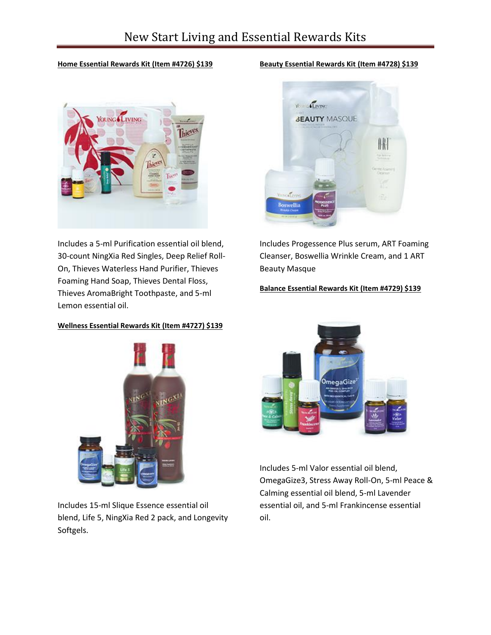#### **Home Essential Rewards Kit (Item #4726) \$139**



Includes a 5-ml Purification essential oil blend, 30-count NingXia Red Singles, Deep Relief Roll-On, Thieves Waterless Hand Purifier, Thieves Foaming Hand Soap, Thieves Dental Floss, Thieves AromaBright Toothpaste, and 5-ml Lemon essential oil.

## **Wellness Essential Rewards Kit (Item #4727) \$139**



Includes 15-ml Slique Essence essential oil blend, Life 5, NingXia Red 2 pack, and Longevity Softgels.

#### **Beauty Essential Rewards Kit (Item #4728) \$139**



Includes Progessence Plus serum, ART Foaming Cleanser, Boswellia Wrinkle Cream, and 1 ART Beauty Masque

## **Balance Essential Rewards Kit (Item #4729) \$139**



Includes 5-ml Valor essential oil blend, OmegaGize3, Stress Away Roll-On, 5-ml Peace & Calming essential oil blend, 5-ml Lavender essential oil, and 5-ml Frankincense essential oil.